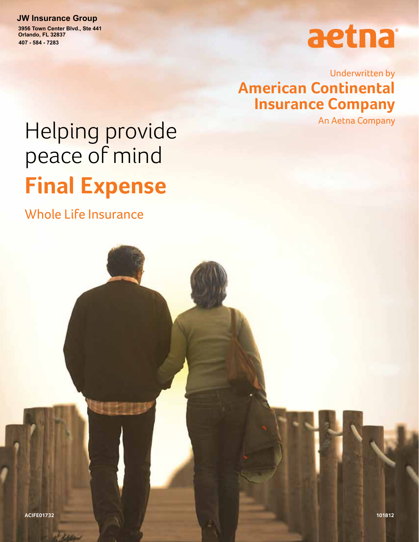#### **JW Insurance Group**

**407 - 584 - 7283 3956 Town Center Blvd., Ste 441 Orlando, FL 32837**

# aetna

Underwritten by **American Continental Insurance Company**

An Aetna Company

# Helping provide peace of mind **Final Expense**

Whole Life Insurance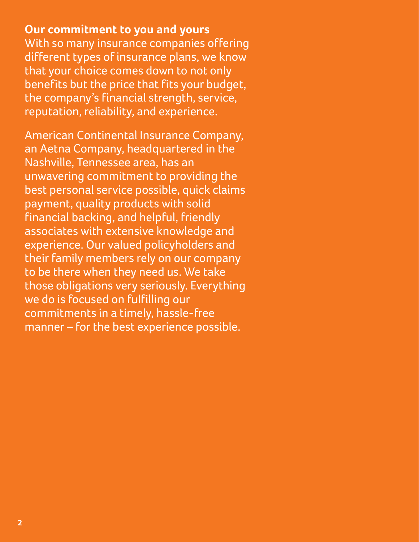**Our commitment to you and yours** With so many insurance companies offering different types of insurance plans, we know that your choice comes down to not only benefits but the price that fits your budget, the company's financial strength, service, reputation, reliability, and experience.

American Continental Insurance Company, an Aetna Company, headquartered in the Nashville, Tennessee area, has an unwavering commitment to providing the best personal service possible, quick claims payment, quality products with solid financial backing, and helpful, friendly associates with extensive knowledge and experience. Our valued policyholders and their family members rely on our company to be there when they need us. We take those obligations very seriously. Everything we do is focused on fulfilling our commitments in a timely, hassle-free manner – for the best experience possible.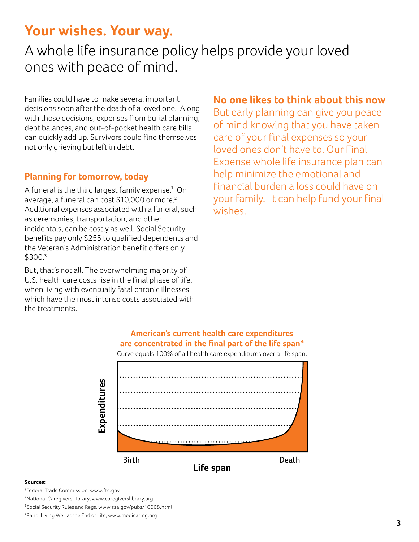## **Your wishes. Your way.**

## A whole life insurance policy helps provide your loved ones with peace of mind.

Families could have to make several important decisions soon after the death of a loved one. Along with those decisions, expenses from burial planning, debt balances, and out-of-pocket health care bills can quickly add up. Survivors could find themselves not only grieving but left in debt.

#### **Planning for tomorrow, today**

A funeral is the third largest family expense.<sup>1</sup> On average, a funeral can cost \$10,000 or more.² Additional expenses associated with a funeral, such as ceremonies, transportation, and other incidentals, can be costly as well. Social Security benefits pay only \$255 to qualified dependents and the Veteran's Administration benefit offers only \$300.³

But, that's not all. The overwhelming majority of U.S. health care costs rise in the final phase of life, when living with eventually fatal chronic illnesses which have the most intense costs associated with the treatments.

## **No one likes to think about this now**

But early planning can give you peace of mind knowing that you have taken care of your final expenses so your loved ones don't have to. Our Final Expense whole life insurance plan can help minimize the emotional and financial burden a loss could have on your family. It can help fund your final wishes.



#### **American's current health care expenditures are concentrated in the final part of the life span4**

#### **Sources:**

1Federal Trade Commission, www.ftc.gov

2National Caregivers Library, www.caregiverslibrary.org

3Social Security Rules and Regs, www.ssa.gov/pubs/10008.html

4Rand: Living Well at the End of Life, www.medicaring.org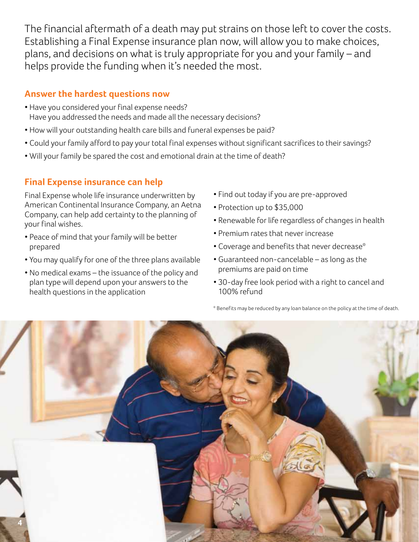The financial aftermath of a death may put strains on those left to cover the costs. Establishing a Final Expense insurance plan now, will allow you to make choices, plans, and decisions on what is truly appropriate for you and your family – and helps provide the funding when it's needed the most.

#### **Answer the hardest questions now**

- Have you considered your final expense needs? Have you addressed the needs and made all the necessary decisions?
- How will your outstanding health care bills and funeral expenses be paid?
- Could your family afford to pay your total final expenses without significant sacrifices to their savings?
- Will your family be spared the cost and emotional drain at the time of death?

#### **Final Expense insurance can help**

Final Expense whole life insurance underwritten by American Continental Insurance Company, an Aetna Company, can help add certainty to the planning of your final wishes.

- Peace of mind that your family will be better prepared
- You may qualify for one of the three plans available
- No medical exams the issuance of the policy and plan type will depend upon your answers to the health questions in the application
- Find out today if you are pre-approved
- Protection up to \$35,000
- Renewable for life regardless of changes in health
- Premium rates that never increase
- Coverage and benefits that never decrease\*
- Guaranteed non-cancelable as long as the premiums are paid on time
- 30-day free look period with a right to cancel and 100% refund

\* Benefits may be reduced by any loan balance on the policy at the time of death.

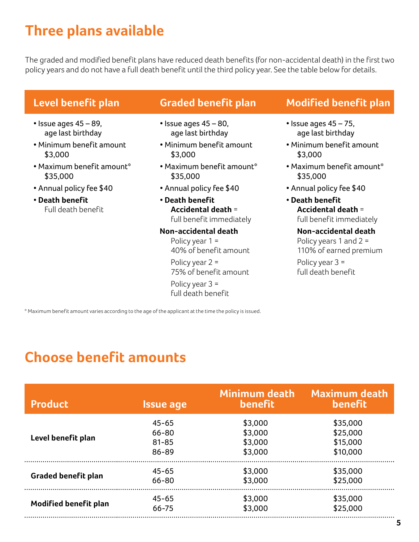# **Three plans available**

The graded and modified benefit plans have reduced death benefits (for non-accidental death) in the first two policy years and do not have a full death benefit until the third policy year. See the table below for details.

## **Level benefit plan**

- $\cdot$  Issue ages 45 89, age last birthday
- Minimum benefit amount \$3,000
- Maximum benefit amount\* \$35,000
- Annual policy fee \$40
- **Death benefit** Full death benefit

### **Graded benefit plan**

- $\cdot$  Issue ages 45 80, age last birthday
- Minimum benefit amount \$3,000
- Maximum benefit amount\* \$35,000
- Annual policy fee \$40
- **Death benefit Accidental death** = full benefit immediately

#### **Non-accidental death**

Policy year 1 = 40% of benefit amount

Policy year 2 = 75% of benefit amount

Policy year 3 = full death benefit

## **Modified benefit plan**

- $\cdot$  Issue ages 45 75, age last birthday
- Minimum benefit amount \$3,000
- Maximum benefit amount\* \$35,000
- Annual policy fee \$40
- **Death benefit Accidental death** = full benefit immediately

#### **Non-accidental death** Policy years 1 and 2 = 110% of earned premium

Policy year 3 = full death benefit

\* Maximum benefit amount varies according to the age of the applicant at the time the policy is issued.

# **Choose benefit amounts**

| <b>Product</b>               | <b>Issue age</b> | <b>Minimum death</b><br><b>benefit</b> | <b>Maximum death</b><br><b>benefit</b> |
|------------------------------|------------------|----------------------------------------|----------------------------------------|
| Level benefit plan           | $45 - 65$        | \$3,000                                | \$35,000                               |
|                              | 66-80            | \$3,000                                | \$25,000                               |
|                              | $81 - 85$        | \$3,000                                | \$15,000                               |
|                              | 86-89            | \$3,000                                | \$10,000                               |
| <b>Graded benefit plan</b>   | $45 - 65$        | \$3,000                                | \$35,000                               |
|                              | 66-80            | \$3,000                                | \$25,000                               |
| <b>Modified benefit plan</b> | $45 - 65$        | \$3,000                                | \$35,000                               |
|                              | 66-75            | \$3,000                                | \$25,000                               |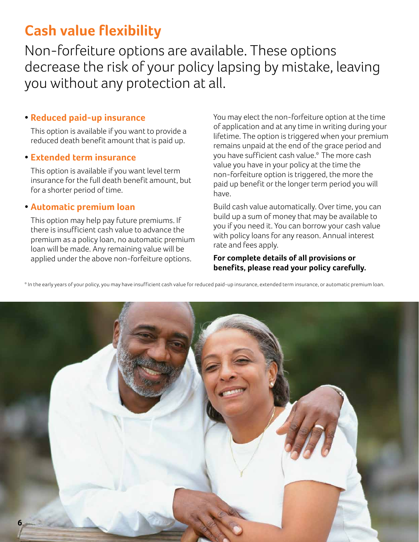# **Cash value flexibility**

Non-forfeiture options are available. These options decrease the risk of your policy lapsing by mistake, leaving you without any protection at all.

#### **• Reduced paid-up insurance**

This option is available if you want to provide a reduced death benefit amount that is paid up.

#### **• Extended term insurance**

This option is available if you want level term insurance for the full death benefit amount, but for a shorter period of time.

#### **• Automatic premium loan**

This option may help pay future premiums. If there is insufficient cash value to advance the premium as a policy loan, no automatic premium loan will be made. Any remaining value will be applied under the above non-forfeiture options.

You may elect the non-forfeiture option at the time of application and at any time in writing during your lifetime. The option is triggered when your premium remains unpaid at the end of the grace period and you have sufficient cash value.\* The more cash value you have in your policy at the time the non-forfeiture option is triggered, the more the paid up benefit or the longer term period you will have.

Build cash value automatically. Over time, you can build up a sum of money that may be available to you if you need it. You can borrow your cash value with policy loans for any reason. Annual interest rate and fees apply.

**For complete details of all provisions or benefits, please read your policy carefully.**

\* In the early years of your policy, you may have insufficient cash value for reduced paid-up insurance, extended term insurance, or automatic premium loan.

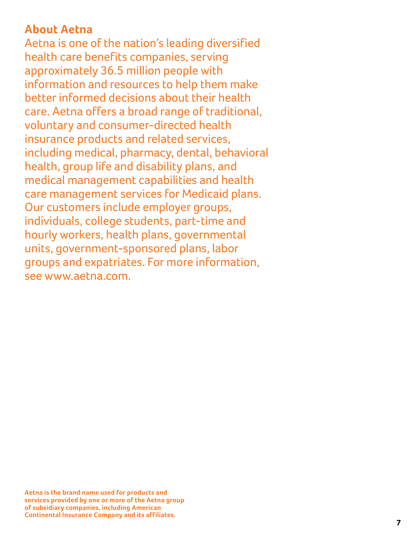## **About Aetna**

Aetna is one of the nation's leading diversified health care benefits companies, serving approximately 36.5 million people with information and resources to help them make better informed decisions about their health care. Aetna offers a broad range of traditional, voluntary and consumer-directed health insurance products and related services, including medical, pharmacy, dental, behavioral health, group life and disability plans, and medical management capabilities and health care management services for Medicaid plans. Our customers include employer groups, individuals, college students, part-time and hourly workers, health plans, governmental units, government-sponsored plans, labor groups and expatriates. For more information, see www.aetna.com.